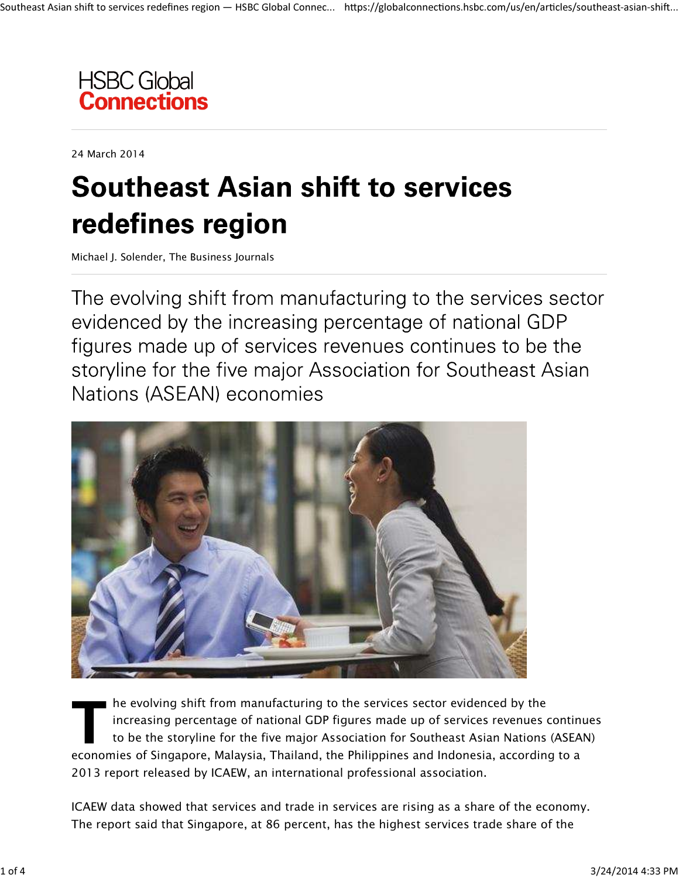

24 March 2014

# **Southeast Asian shift to services** redefines region

Michael J. Solender, The Business Journals

The evolving shift from manufacturing to the services sector evidenced by the increasing percentage of national GDP figures made up of services revenues continues to be the storyline for the five major Association for Southeast Asian Nations (ASEAN) economies



*he evolving shift from manufacturing to the services sector evidenced by the increasing percentage of national GDP figures made up of services revenues continues to be the storyline for the five major Association for Southeast Asian Nations (ASEAN) economies of Singapore, Malaysia, Thailand, the Philippines and Indonesia, according to a 2013 report released by ICAEW, an international professional association.*

*ICAEW data showed that services and trade in services are rising as a share of the economy. The report said that Singapore, at 86 percent, has the highest services trade share of the*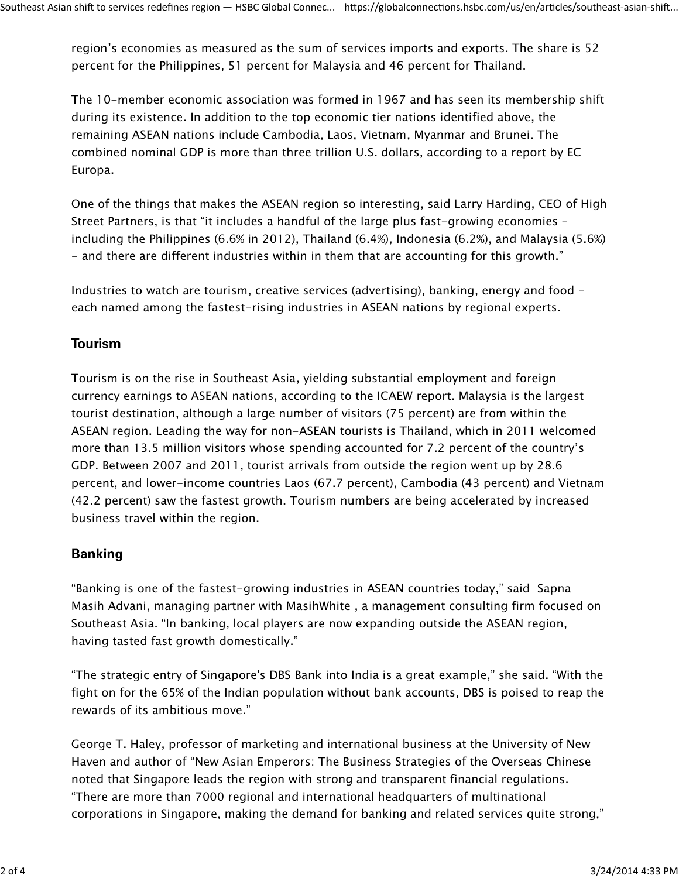*region's economies as measured as the sum of services imports and exports. The share is 52 percent for the Philippines, 51 percent for Malaysia and 46 percent for Thailand.*

*The 10-member economic association was formed in 1967 and has seen its membership shift during its existence. In addition to the top economic tier nations identified above, the remaining ASEAN nations include Cambodia, Laos, Vietnam, Myanmar and Brunei. The combined nominal GDP is more than three trillion U.S. dollars, according to a report by EC Europa.*

*One of the things that makes the ASEAN region so interesting, said Larry Harding, CEO of High Street Partners, is that "it includes a handful of the large plus fast-growing economies – including the Philippines (6.6% in 2012), Thailand (6.4%), Indonesia (6.2%), and Malaysia (5.6%) - and there are different industries within in them that are accounting for this growth."*

*Industries to watch are tourism, creative services (advertising), banking, energy and food each named among the fastest-rising industries in ASEAN nations by regional experts.*

### **Tourism**

*Tourism is on the rise in Southeast Asia, yielding substantial employment and foreign currency earnings to ASEAN nations, according to the ICAEW report. Malaysia is the largest tourist destination, although a large number of visitors (75 percent) are from within the ASEAN region. Leading the way for non-ASEAN tourists is Thailand, which in 2011 welcomed more than 13.5 million visitors whose spending accounted for 7.2 percent of the country's GDP. Between 2007 and 2011, tourist arrivals from outside the region went up by 28.6 percent, and lower-income countries Laos (67.7 percent), Cambodia (43 percent) and Vietnam (42.2 percent) saw the fastest growth. Tourism numbers are being accelerated by increased business travel within the region.*

# **Banking**

*"Banking is one of the fastest-growing industries in ASEAN countries today," said Sapna Masih Advani, managing partner with MasihWhite , a management consulting firm focused on Southeast Asia. "In banking, local players are now expanding outside the ASEAN region, having tasted fast growth domestically."*

*"The strategic entry of Singapore's DBS Bank into India is a great example," she said. "With the fight on for the 65% of the Indian population without bank accounts, DBS is poised to reap the rewards of its ambitious move."*

*George T. Haley, professor of marketing and international business at the University of New Haven and author of "New Asian Emperors: The Business Strategies of the Overseas Chinese noted that Singapore leads the region with strong and transparent financial regulations. "There are more than 7000 regional and international headquarters of multinational corporations in Singapore, making the demand for banking and related services quite strong,"*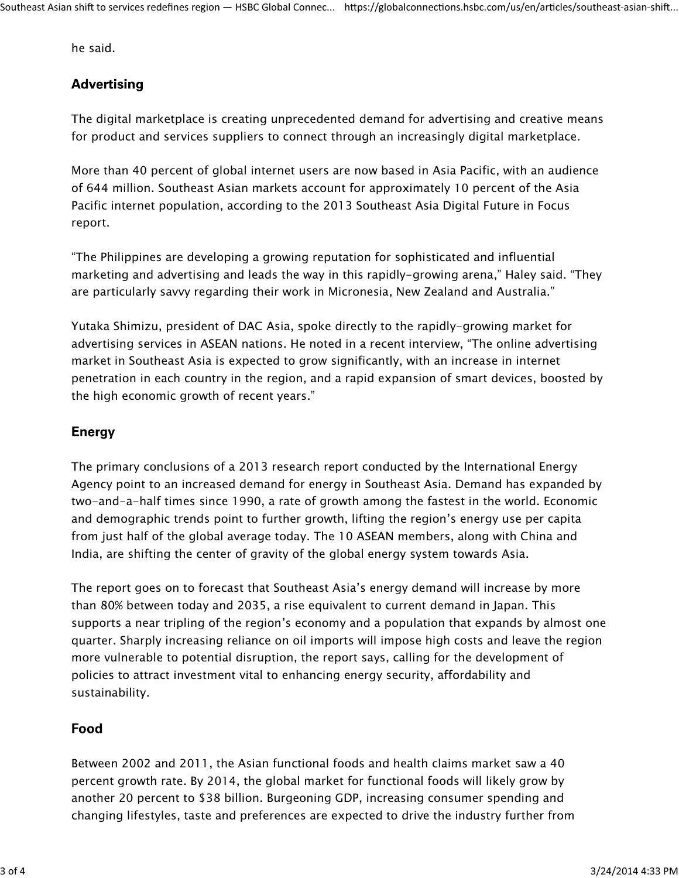*he said.*

# **Advertising**

*The digital marketplace is creating unprecedented demand for advertising and creative means for product and services suppliers to connect through an increasingly digital marketplace.*

*More than 40 percent of global internet users are now based in Asia Pacific, with an audience of 644 million. Southeast Asian markets account for approximately 10 percent of the Asia Pacific internet population, according to the 2013 Southeast Asia Digital Future in Focus report.*

*"The Philippines are developing a growing reputation for sophisticated and influential marketing and advertising and leads the way in this rapidly-growing arena," Haley said. "They are particularly savvy regarding their work in Micronesia, New Zealand and Australia."*

*Yutaka Shimizu, president of DAC Asia, spoke directly to the rapidly-growing market for advertising services in ASEAN nations. He noted in a recent interview, "The online advertising market in Southeast Asia is expected to grow significantly, with an increase in internet penetration in each country in the region, and a rapid expansion of smart devices, boosted by the high economic growth of recent years."*

## **Energy**

*The primary conclusions of a 2013 research report conducted by the International Energy Agency point to an increased demand for energy in Southeast Asia. Demand has expanded by two-and-a-half times since 1990, a rate of growth among the fastest in the world. Economic and demographic trends point to further growth, lifting the region's energy use per capita from just half of the global average today. The 10 ASEAN members, along with China and India, are shifting the center of gravity of the global energy system towards Asia.*

*The report goes on to forecast that Southeast Asia's energy demand will increase by more than 80% between today and 2035, a rise equivalent to current demand in Japan. This supports a near tripling of the region's economy and a population that expands by almost one quarter. Sharply increasing reliance on oil imports will impose high costs and leave the region more vulnerable to potential disruption, the report says, calling for the development of policies to attract investment vital to enhancing energy security, affordability and sustainability.*

# Food

*Between 2002 and 2011, the Asian functional foods and health claims market saw a 40 percent growth rate. By 2014, the global market for functional foods will likely grow by another 20 percent to \$38 billion. Burgeoning GDP, increasing consumer spending and changing lifestyles, taste and preferences are expected to drive the industry further from*